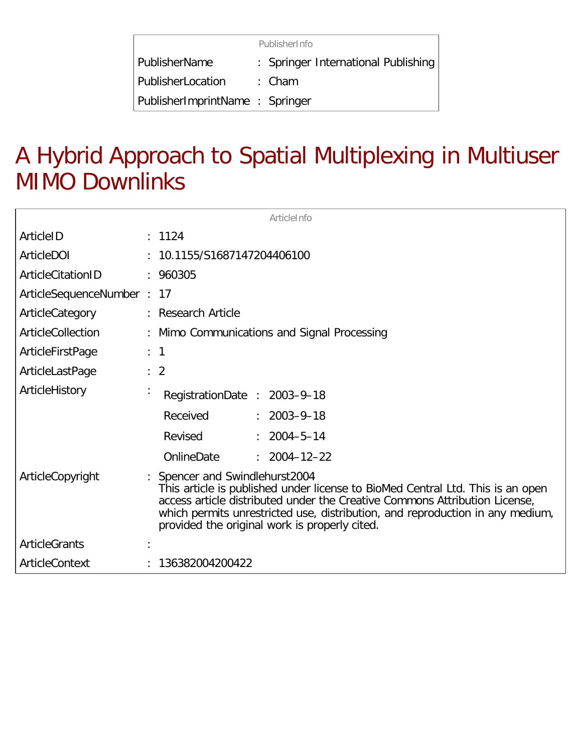|                                | PublisherInfo                       |  |
|--------------------------------|-------------------------------------|--|
| PublisherName                  | : Springer International Publishing |  |
| PublisherLocation              | : Cham                              |  |
| PublisherImprintName: Springer |                                     |  |

## A Hybrid Approach to Spatial Multiplexing in Multiuser MIMO Downlinks

| ArticleInfo               |  |                                                                                                                                                                                                                                                                                                                                  |  |
|---------------------------|--|----------------------------------------------------------------------------------------------------------------------------------------------------------------------------------------------------------------------------------------------------------------------------------------------------------------------------------|--|
| ArticleID                 |  | : 1124                                                                                                                                                                                                                                                                                                                           |  |
| ArticleDOI                |  | : 10.1155/S1687147204406100                                                                                                                                                                                                                                                                                                      |  |
| ArticleCitationID         |  | : 960305                                                                                                                                                                                                                                                                                                                         |  |
| ArticleSequenceNumber: 17 |  |                                                                                                                                                                                                                                                                                                                                  |  |
| ArticleCategory           |  | : Research Article                                                                                                                                                                                                                                                                                                               |  |
| ArticleCollection         |  | Mimo Communications and Signal Processing                                                                                                                                                                                                                                                                                        |  |
| ArticleFirstPage          |  | $\therefore$ 1                                                                                                                                                                                                                                                                                                                   |  |
| ArticleLastPage           |  | $\therefore$ 2                                                                                                                                                                                                                                                                                                                   |  |
| ArticleHistory            |  | RegistrationDate: 2003-9-18                                                                                                                                                                                                                                                                                                      |  |
|                           |  | Received<br>$: 2003 - 9 - 18$                                                                                                                                                                                                                                                                                                    |  |
|                           |  | Revised<br>$: 2004 - 5 - 14$                                                                                                                                                                                                                                                                                                     |  |
|                           |  | OnlineDate<br>$: 2004 - 12 - 22$                                                                                                                                                                                                                                                                                                 |  |
| ArticleCopyright          |  | : Spencer and Swindlehurst2004<br>This article is published under license to BioMed Central Ltd. This is an open<br>access article distributed under the Creative Commons Attribution License,<br>which permits unrestricted use, distribution, and reproduction in any medium,<br>provided the original work is properly cited. |  |
| <b>ArticleGrants</b>      |  |                                                                                                                                                                                                                                                                                                                                  |  |
| ArticleContext            |  | 136382004200422                                                                                                                                                                                                                                                                                                                  |  |